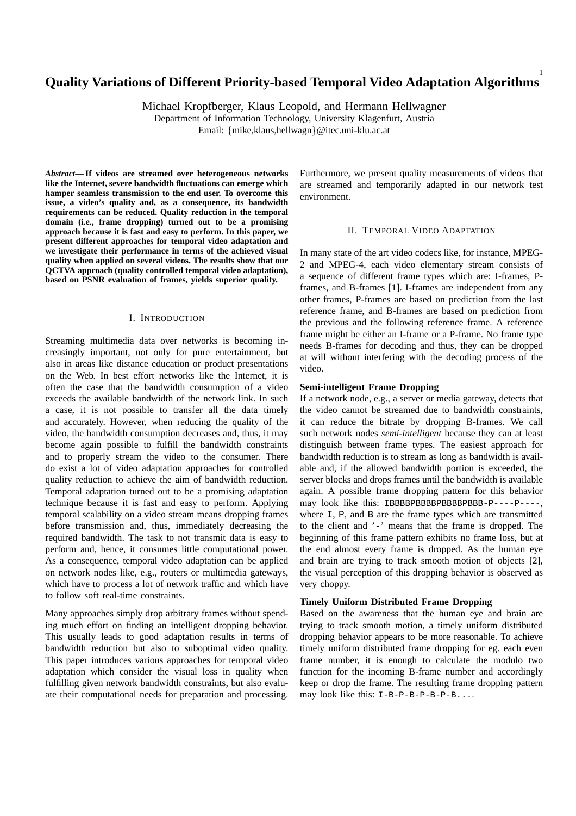# **Quality Variations of Different Priority-based Temporal Video Adaptation Algorithms**

Michael Kropfberger, Klaus Leopold, and Hermann Hellwagner

Department of Information Technology, University Klagenfurt, Austria Email: {mike,klaus,hellwagn}@itec.uni-klu.ac.at

*Abstract***— If videos are streamed over heterogeneous networks like the Internet, severe bandwidth fluctuations can emerge which hamper seamless transmission to the end user. To overcome this issue, a video's quality and, as a consequence, its bandwidth requirements can be reduced. Quality reduction in the temporal domain (i.e., frame dropping) turned out to be a promising approach because it is fast and easy to perform. In this paper, we present different approaches for temporal video adaptation and we investigate their performance in terms of the achieved visual quality when applied on several videos. The results show that our QCTVA approach (quality controlled temporal video adaptation), based on PSNR evaluation of frames, yields superior quality.**

### I. INTRODUCTION

Streaming multimedia data over networks is becoming increasingly important, not only for pure entertainment, but also in areas like distance education or product presentations on the Web. In best effort networks like the Internet, it is often the case that the bandwidth consumption of a video exceeds the available bandwidth of the network link. In such a case, it is not possible to transfer all the data timely and accurately. However, when reducing the quality of the video, the bandwidth consumption decreases and, thus, it may become again possible to fulfill the bandwidth constraints and to properly stream the video to the consumer. There do exist a lot of video adaptation approaches for controlled quality reduction to achieve the aim of bandwidth reduction. Temporal adaptation turned out to be a promising adaptation technique because it is fast and easy to perform. Applying temporal scalability on a video stream means dropping frames before transmission and, thus, immediately decreasing the required bandwidth. The task to not transmit data is easy to perform and, hence, it consumes little computational power. As a consequence, temporal video adaptation can be applied on network nodes like, e.g., routers or multimedia gateways, which have to process a lot of network traffic and which have to follow soft real-time constraints.

Many approaches simply drop arbitrary frames without spending much effort on finding an intelligent dropping behavior. This usually leads to good adaptation results in terms of bandwidth reduction but also to suboptimal video quality. This paper introduces various approaches for temporal video adaptation which consider the visual loss in quality when fulfilling given network bandwidth constraints, but also evaluate their computational needs for preparation and processing.

Furthermore, we present quality measurements of videos that are streamed and temporarily adapted in our network test environment.

1

### II. TEMPORAL VIDEO ADAPTATION

In many state of the art video codecs like, for instance, MPEG-2 and MPEG-4, each video elementary stream consists of a sequence of different frame types which are: I-frames, Pframes, and B-frames [1]. I-frames are independent from any other frames, P-frames are based on prediction from the last reference frame, and B-frames are based on prediction from the previous and the following reference frame. A reference frame might be either an I-frame or a P-frame. No frame type needs B-frames for decoding and thus, they can be dropped at will without interfering with the decoding process of the video.

## **Semi-intelligent Frame Dropping**

If a network node, e.g., a server or media gateway, detects that the video cannot be streamed due to bandwidth constraints, it can reduce the bitrate by dropping B-frames. We call such network nodes *semi-intelligent* because they can at least distinguish between frame types. The easiest approach for bandwidth reduction is to stream as long as bandwidth is available and, if the allowed bandwidth portion is exceeded, the server blocks and drops frames until the bandwidth is available again. A possible frame dropping pattern for this behavior may look like this: IBBBBPBBBBBBBBBBBBBB-P----P----, where I, P, and B are the frame types which are transmitted to the client and '-' means that the frame is dropped. The beginning of this frame pattern exhibits no frame loss, but at the end almost every frame is dropped. As the human eye and brain are trying to track smooth motion of objects [2], the visual perception of this dropping behavior is observed as very choppy.

## **Timely Uniform Distributed Frame Dropping**

Based on the awareness that the human eye and brain are trying to track smooth motion, a timely uniform distributed dropping behavior appears to be more reasonable. To achieve timely uniform distributed frame dropping for eg. each even frame number, it is enough to calculate the modulo two function for the incoming B-frame number and accordingly keep or drop the frame. The resulting frame dropping pattern may look like this:  $I-B-P-B-P-B-P-B...$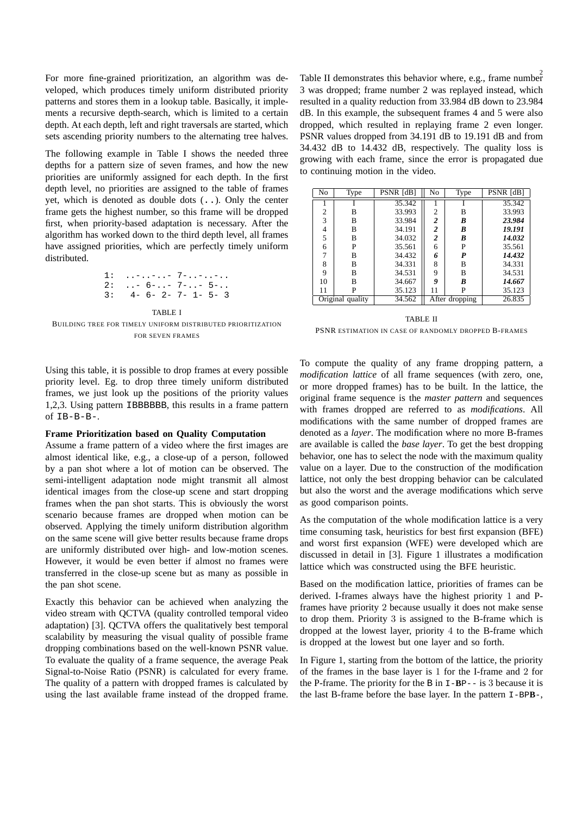For more fine-grained prioritization, an algorithm was developed, which produces timely uniform distributed priority patterns and stores them in a lookup table. Basically, it implements a recursive depth-search, which is limited to a certain depth. At each depth, left and right traversals are started, which sets ascending priority numbers to the alternating tree halves.

The following example in Table I shows the needed three depths for a pattern size of seven frames, and how the new priorities are uniformly assigned for each depth. In the first depth level, no priorities are assigned to the table of frames yet, which is denoted as double dots (..). Only the center frame gets the highest number, so this frame will be dropped first, when priority-based adaptation is necessary. After the algorithm has worked down to the third depth level, all frames have assigned priorities, which are perfectly timely uniform distributed.

1: ..-..-..- 7-..-..-.. 2: ..- 6-..- 7-..- 5-.. 3: 4- 6- 2- 7- 1- 5- 3

#### TABLE I

BUILDING TREE FOR TIMELY UNIFORM DISTRIBUTED PRIORITIZATION FOR SEVEN FRAMES

Using this table, it is possible to drop frames at every possible priority level. Eg. to drop three timely uniform distributed frames, we just look up the positions of the priority values 1,2,3. Using pattern IBBBBBB, this results in a frame pattern of IB-B-B-.

#### **Frame Prioritization based on Quality Computation**

Assume a frame pattern of a video where the first images are almost identical like, e.g., a close-up of a person, followed by a pan shot where a lot of motion can be observed. The semi-intelligent adaptation node might transmit all almost identical images from the close-up scene and start dropping frames when the pan shot starts. This is obviously the worst scenario because frames are dropped when motion can be observed. Applying the timely uniform distribution algorithm on the same scene will give better results because frame drops are uniformly distributed over high- and low-motion scenes. However, it would be even better if almost no frames were transferred in the close-up scene but as many as possible in the pan shot scene.

Exactly this behavior can be achieved when analyzing the video stream with QCTVA (quality controlled temporal video adaptation) [3]. QCTVA offers the qualitatively best temporal scalability by measuring the visual quality of possible frame dropping combinations based on the well-known PSNR value. To evaluate the quality of a frame sequence, the average Peak Signal-to-Noise Ratio (PSNR) is calculated for every frame. The quality of a pattern with dropped frames is calculated by using the last available frame instead of the dropped frame.

2 Table II demonstrates this behavior where, e.g., frame number 3 was dropped; frame number 2 was replayed instead, which resulted in a quality reduction from 33.984 dB down to 23.984 dB. In this example, the subsequent frames 4 and 5 were also dropped, which resulted in replaying frame 2 even longer. PSNR values dropped from 34.191 dB to 19.191 dB and from 34.432 dB to 14.432 dB, respectively. The quality loss is growing with each frame, since the error is propagated due to continuing motion in the video.

| No               | <b>Type</b> | PSNR [dB] | No               | Type | $\overline{PSNR}$ [dB] |
|------------------|-------------|-----------|------------------|------|------------------------|
|                  |             | 35.342    |                  |      | 35.342                 |
| 2                | В           | 33.993    | $\overline{2}$   | B    | 33.993                 |
| 3                | B           | 33.984    | $\boldsymbol{2}$ | B    | 23.984                 |
| 4                | B           | 34.191    | $\boldsymbol{2}$ | B    | 19.191                 |
| 5                | B           | 34.032    | $\overline{2}$   | B    | 14.032                 |
| 6                | P           | 35.561    | 6                | P    | 35.561                 |
| 7                | в           | 34.432    | 6                | P    | 14.432                 |
| 8                | B           | 34.331    | 8                | B    | 34.331                 |
| 9                | B           | 34.531    | 9                | B    | 34.531                 |
| 10               | в           | 34.667    | 9                | B    | 14.667                 |
| 11               | P           | 35.123    | 11               | P    | 35.123                 |
| Original quality |             | 34.562    | After dropping   |      | 26.835                 |

### TABLE II

PSNR ESTIMATION IN CASE OF RANDOMLY DROPPED B-FRAMES

To compute the quality of any frame dropping pattern, a *modification lattice* of all frame sequences (with zero, one, or more dropped frames) has to be built. In the lattice, the original frame sequence is the *master pattern* and sequences with frames dropped are referred to as *modifications*. All modifications with the same number of dropped frames are denoted as a *layer*. The modification where no more B-frames are available is called the *base layer*. To get the best dropping behavior, one has to select the node with the maximum quality value on a layer. Due to the construction of the modification lattice, not only the best dropping behavior can be calculated but also the worst and the average modifications which serve as good comparison points.

As the computation of the whole modification lattice is a very time consuming task, heuristics for best first expansion (BFE) and worst first expansion (WFE) were developed which are discussed in detail in [3]. Figure 1 illustrates a modification lattice which was constructed using the BFE heuristic.

Based on the modification lattice, priorities of frames can be derived. I-frames always have the highest priority 1 and Pframes have priority 2 because usually it does not make sense to drop them. Priority 3 is assigned to the B-frame which is dropped at the lowest layer, priority 4 to the B-frame which is dropped at the lowest but one layer and so forth.

In Figure 1, starting from the bottom of the lattice, the priority of the frames in the base layer is 1 for the I-frame and 2 for the P-frame. The priority for the B in I-**B**P-- is 3 because it is the last B-frame before the base layer. In the pattern I-BP**B**-,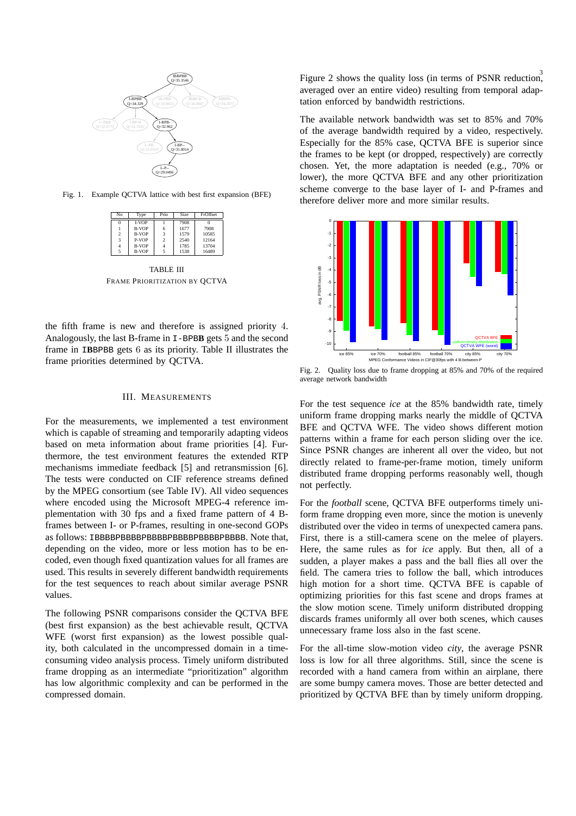

Fig. 1. Example QCTVA lattice with best first expansion (BFE)

| No             | Type         | Prio           | Size | FrOffset |
|----------------|--------------|----------------|------|----------|
| 0              | <b>LVOP</b>  |                | 7908 |          |
|                | <b>B-VOP</b> | 6              | 1677 | 7908     |
| $\overline{2}$ | <b>B-VOP</b> | 3              | 1579 | 10585    |
| 3              | P-VOP        | $\overline{2}$ | 2540 | 12164    |
| $\overline{4}$ | <b>B-VOP</b> | 4              | 1785 | 13704    |
| 5              | <b>B-VOP</b> | 5              | 1538 | 16489    |

TABLE III FRAME PRIORITIZATION BY QCTVA

the fifth frame is new and therefore is assigned priority 4. Analogously, the last B-frame in I-BPB**B** gets 5 and the second frame in I**B**BPBB gets 6 as its priority. Table II illustrates the frame priorities determined by QCTVA.

## III. MEASUREMENTS

For the measurements, we implemented a test environment which is capable of streaming and temporarily adapting videos based on meta information about frame priorities [4]. Furthermore, the test environment features the extended RTP mechanisms immediate feedback [5] and retransmission [6]. The tests were conducted on CIF reference streams defined by the MPEG consortium (see Table IV). All video sequences where encoded using the Microsoft MPEG-4 reference implementation with 30 fps and a fixed frame pattern of 4 Bframes between I- or P-frames, resulting in one-second GOPs as follows: IBBBBPBBBBPBBBBPBBBBPBBBBPBBBB. Note that, depending on the video, more or less motion has to be encoded, even though fixed quantization values for all frames are used. This results in severely different bandwidth requirements for the test sequences to reach about similar average PSNR values.

The following PSNR comparisons consider the QCTVA BFE (best first expansion) as the best achievable result, QCTVA WFE (worst first expansion) as the lowest possible quality, both calculated in the uncompressed domain in a timeconsuming video analysis process. Timely uniform distributed frame dropping as an intermediate "prioritization" algorithm has low algorithmic complexity and can be performed in the compressed domain.

3 Figure 2 shows the quality loss (in terms of PSNR reduction, averaged over an entire video) resulting from temporal adaptation enforced by bandwidth restrictions.

The available network bandwidth was set to 85% and 70% of the average bandwidth required by a video, respectively. Especially for the 85% case, QCTVA BFE is superior since the frames to be kept (or dropped, respectively) are correctly chosen. Yet, the more adaptation is needed (e.g., 70% or lower), the more QCTVA BFE and any other prioritization scheme converge to the base layer of I- and P-frames and therefore deliver more and more similar results.



Fig. 2. Quality loss due to frame dropping at 85% and 70% of the required average network bandwidth

For the test sequence *ice* at the 85% bandwidth rate, timely uniform frame dropping marks nearly the middle of QCTVA BFE and QCTVA WFE. The video shows different motion patterns within a frame for each person sliding over the ice. Since PSNR changes are inherent all over the video, but not directly related to frame-per-frame motion, timely uniform distributed frame dropping performs reasonably well, though not perfectly.

For the *football* scene, QCTVA BFE outperforms timely uniform frame dropping even more, since the motion is unevenly distributed over the video in terms of unexpected camera pans. First, there is a still-camera scene on the melee of players. Here, the same rules as for *ice* apply. But then, all of a sudden, a player makes a pass and the ball flies all over the field. The camera tries to follow the ball, which introduces high motion for a short time. QCTVA BFE is capable of optimizing priorities for this fast scene and drops frames at the slow motion scene. Timely uniform distributed dropping discards frames uniformly all over both scenes, which causes unnecessary frame loss also in the fast scene.

For the all-time slow-motion video *city*, the average PSNR loss is low for all three algorithms. Still, since the scene is recorded with a hand camera from within an airplane, there are some bumpy camera moves. Those are better detected and prioritized by QCTVA BFE than by timely uniform dropping.